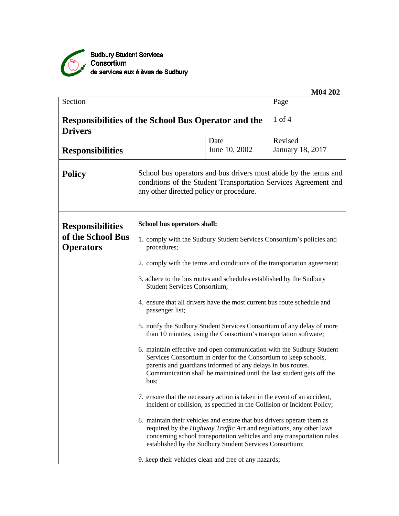

|                                                                              |                                                                                                                                                                                                                                                                                           |                                                                                                                                | M04 202                                                                                                                             |  |  |
|------------------------------------------------------------------------------|-------------------------------------------------------------------------------------------------------------------------------------------------------------------------------------------------------------------------------------------------------------------------------------------|--------------------------------------------------------------------------------------------------------------------------------|-------------------------------------------------------------------------------------------------------------------------------------|--|--|
| Section                                                                      |                                                                                                                                                                                                                                                                                           |                                                                                                                                | Page                                                                                                                                |  |  |
| <b>Responsibilities of the School Bus Operator and the</b><br><b>Drivers</b> |                                                                                                                                                                                                                                                                                           |                                                                                                                                | $1$ of $4$                                                                                                                          |  |  |
|                                                                              |                                                                                                                                                                                                                                                                                           | Date                                                                                                                           | Revised                                                                                                                             |  |  |
| <b>Responsibilities</b>                                                      |                                                                                                                                                                                                                                                                                           | June 10, 2002                                                                                                                  | <b>January 18, 2017</b>                                                                                                             |  |  |
| <b>Policy</b>                                                                | any other directed policy or procedure.                                                                                                                                                                                                                                                   |                                                                                                                                | School bus operators and bus drivers must abide by the terms and<br>conditions of the Student Transportation Services Agreement and |  |  |
| <b>Responsibilities</b>                                                      | School bus operators shall:                                                                                                                                                                                                                                                               |                                                                                                                                |                                                                                                                                     |  |  |
| of the School Bus<br><b>Operators</b>                                        | 1. comply with the Sudbury Student Services Consortium's policies and<br>procedures;                                                                                                                                                                                                      |                                                                                                                                |                                                                                                                                     |  |  |
|                                                                              | 2. comply with the terms and conditions of the transportation agreement;                                                                                                                                                                                                                  |                                                                                                                                |                                                                                                                                     |  |  |
|                                                                              | 3. adhere to the bus routes and schedules established by the Sudbury<br><b>Student Services Consortium;</b><br>4. ensure that all drivers have the most current bus route schedule and<br>passenger list;                                                                                 |                                                                                                                                |                                                                                                                                     |  |  |
|                                                                              |                                                                                                                                                                                                                                                                                           |                                                                                                                                |                                                                                                                                     |  |  |
|                                                                              |                                                                                                                                                                                                                                                                                           | than 10 minutes, using the Consortium's transportation software;                                                               | 5. notify the Sudbury Student Services Consortium of any delay of more                                                              |  |  |
|                                                                              | 6. maintain effective and open communication with the Sudbury Student<br>Services Consortium in order for the Consortium to keep schools,<br>parents and guardians informed of any delays in bus routes.<br>Communication shall be maintained until the last student gets off the<br>bus; |                                                                                                                                |                                                                                                                                     |  |  |
|                                                                              | 7. ensure that the necessary action is taken in the event of an accident,                                                                                                                                                                                                                 | incident or collision, as specified in the Collision or Incident Policy;                                                       |                                                                                                                                     |  |  |
|                                                                              | 8. maintain their vehicles and ensure that bus drivers operate them as                                                                                                                                                                                                                    | required by the Highway Traffic Act and regulations, any other laws<br>established by the Sudbury Student Services Consortium; | concerning school transportation vehicles and any transportation rules                                                              |  |  |
|                                                                              | 9. keep their vehicles clean and free of any hazards;                                                                                                                                                                                                                                     |                                                                                                                                |                                                                                                                                     |  |  |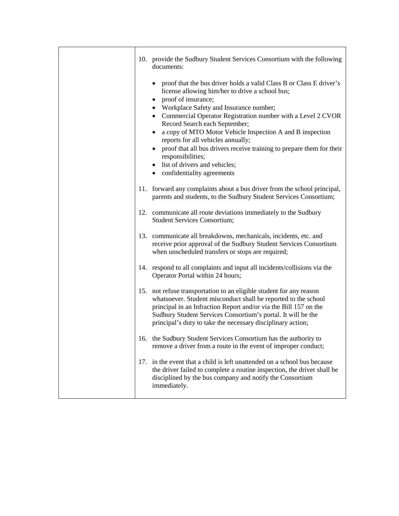|     | 10. provide the Sudbury Student Services Consortium with the following<br>documents:                                                                                                                                                                                                                                                                                                                                                                                                                                                                                                                                 |
|-----|----------------------------------------------------------------------------------------------------------------------------------------------------------------------------------------------------------------------------------------------------------------------------------------------------------------------------------------------------------------------------------------------------------------------------------------------------------------------------------------------------------------------------------------------------------------------------------------------------------------------|
|     | proof that the bus driver holds a valid Class B or Class E driver's<br>$\bullet$<br>license allowing him/her to drive a school bus;<br>proof of insurance;<br>٠<br>Workplace Safety and Insurance number;<br>Commercial Operator Registration number with a Level 2 CVOR<br>$\bullet$<br>Record Search each September;<br>a copy of MTO Motor Vehicle Inspection A and B inspection<br>$\bullet$<br>reports for all vehicles annually;<br>proof that all bus drivers receive training to prepare them for their<br>$\bullet$<br>responsibilities;<br>• list of drivers and vehicles;<br>• confidentiality agreements |
|     | 11. forward any complaints about a bus driver from the school principal,<br>parents and students, to the Sudbury Student Services Consortium;                                                                                                                                                                                                                                                                                                                                                                                                                                                                        |
|     | 12. communicate all route deviations immediately to the Sudbury<br><b>Student Services Consortium;</b>                                                                                                                                                                                                                                                                                                                                                                                                                                                                                                               |
|     | 13. communicate all breakdowns, mechanicals, incidents, etc. and<br>receive prior approval of the Sudbury Student Services Consortium<br>when unscheduled transfers or stops are required;                                                                                                                                                                                                                                                                                                                                                                                                                           |
|     | 14. respond to all complaints and input all incidents/collisions via the<br>Operator Portal within 24 hours;                                                                                                                                                                                                                                                                                                                                                                                                                                                                                                         |
|     | 15. not refuse transportation to an eligible student for any reason<br>whatsoever. Student misconduct shall be reported to the school<br>principal in an Infraction Report and/or via the Bill 157 on the<br>Sudbury Student Services Consortium's portal. It will be the<br>principal's duty to take the necessary disciplinary action;                                                                                                                                                                                                                                                                             |
|     | 16. the Sudbury Student Services Consortium has the authority to<br>remove a driver from a route in the event of improper conduct;                                                                                                                                                                                                                                                                                                                                                                                                                                                                                   |
| 17. | in the event that a child is left unattended on a school bus because<br>the driver failed to complete a routine inspection, the driver shall be<br>disciplined by the bus company and notify the Consortium<br>immediately.                                                                                                                                                                                                                                                                                                                                                                                          |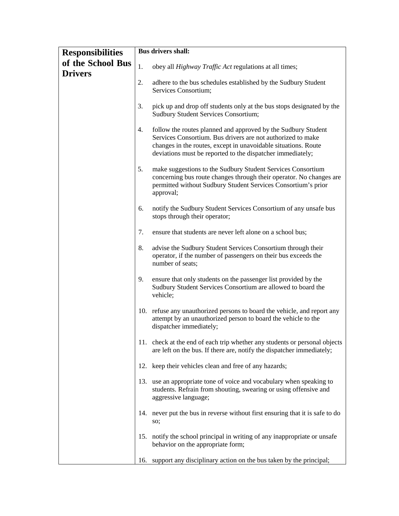| <b>Responsibilities</b>             | <b>Bus drivers shall:</b> |                                                                                                                                                                                                                                                              |  |
|-------------------------------------|---------------------------|--------------------------------------------------------------------------------------------------------------------------------------------------------------------------------------------------------------------------------------------------------------|--|
| of the School Bus<br><b>Drivers</b> | 1.                        | obey all <i>Highway Traffic Act</i> regulations at all times;                                                                                                                                                                                                |  |
|                                     | 2.                        | adhere to the bus schedules established by the Sudbury Student<br>Services Consortium;                                                                                                                                                                       |  |
|                                     | 3.                        | pick up and drop off students only at the bus stops designated by the<br><b>Sudbury Student Services Consortium;</b>                                                                                                                                         |  |
|                                     | 4.                        | follow the routes planned and approved by the Sudbury Student<br>Services Consortium. Bus drivers are not authorized to make<br>changes in the routes, except in unavoidable situations. Route<br>deviations must be reported to the dispatcher immediately; |  |
|                                     | 5.                        | make suggestions to the Sudbury Student Services Consortium<br>concerning bus route changes through their operator. No changes are<br>permitted without Sudbury Student Services Consortium's prior<br>approval;                                             |  |
|                                     | 6.                        | notify the Sudbury Student Services Consortium of any unsafe bus<br>stops through their operator;                                                                                                                                                            |  |
|                                     | 7.                        | ensure that students are never left alone on a school bus;                                                                                                                                                                                                   |  |
|                                     | 8.                        | advise the Sudbury Student Services Consortium through their<br>operator, if the number of passengers on their bus exceeds the<br>number of seats;                                                                                                           |  |
|                                     | 9.                        | ensure that only students on the passenger list provided by the<br>Sudbury Student Services Consortium are allowed to board the<br>vehicle;                                                                                                                  |  |
|                                     | 10.                       | refuse any unauthorized persons to board the vehicle, and report any<br>attempt by an unauthorized person to board the vehicle to the<br>dispatcher immediately;                                                                                             |  |
|                                     |                           | 11. check at the end of each trip whether any students or personal objects<br>are left on the bus. If there are, notify the dispatcher immediately;                                                                                                          |  |
|                                     |                           | 12. keep their vehicles clean and free of any hazards;                                                                                                                                                                                                       |  |
|                                     |                           | 13. use an appropriate tone of voice and vocabulary when speaking to<br>students. Refrain from shouting, swearing or using offensive and<br>aggressive language;                                                                                             |  |
|                                     |                           | 14. never put the bus in reverse without first ensuring that it is safe to do<br>so;                                                                                                                                                                         |  |
|                                     |                           | 15. notify the school principal in writing of any inappropriate or unsafe<br>behavior on the appropriate form;                                                                                                                                               |  |
|                                     | 16.                       | support any disciplinary action on the bus taken by the principal;                                                                                                                                                                                           |  |